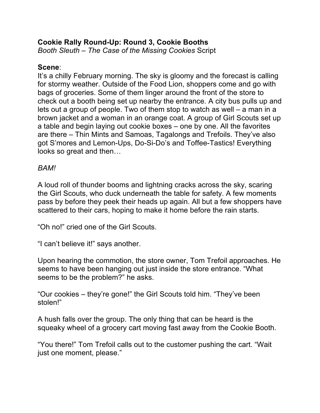## **Cookie Rally Round-Up: Round 3, Cookie Booths**

*Booth Sleuth – The Case of the Missing Cookies* Script

## **Scene**:

It's a chilly February morning. The sky is gloomy and the forecast is calling for stormy weather. Outside of the Food Lion, shoppers come and go with bags of groceries. Some of them linger around the front of the store to check out a booth being set up nearby the entrance. A city bus pulls up and lets out a group of people. Two of them stop to watch as well – a man in a brown jacket and a woman in an orange coat. A group of Girl Scouts set up a table and begin laying out cookie boxes – one by one. All the favorites are there – Thin Mints and Samoas, Tagalongs and Trefoils. They've also got S'mores and Lemon-Ups, Do-Si-Do's and Toffee-Tastics! Everything looks so great and then…

## *BAM!*

A loud roll of thunder booms and lightning cracks across the sky, scaring the Girl Scouts, who duck underneath the table for safety. A few moments pass by before they peek their heads up again. All but a few shoppers have scattered to their cars, hoping to make it home before the rain starts.

"Oh no!" cried one of the Girl Scouts.

"I can't believe it!" says another.

Upon hearing the commotion, the store owner, Tom Trefoil approaches. He seems to have been hanging out just inside the store entrance. "What seems to be the problem?" he asks.

"Our cookies – they're gone!" the Girl Scouts told him. "They've been stolen!"

A hush falls over the group. The only thing that can be heard is the squeaky wheel of a grocery cart moving fast away from the Cookie Booth.

"You there!" Tom Trefoil calls out to the customer pushing the cart. "Wait just one moment, please."